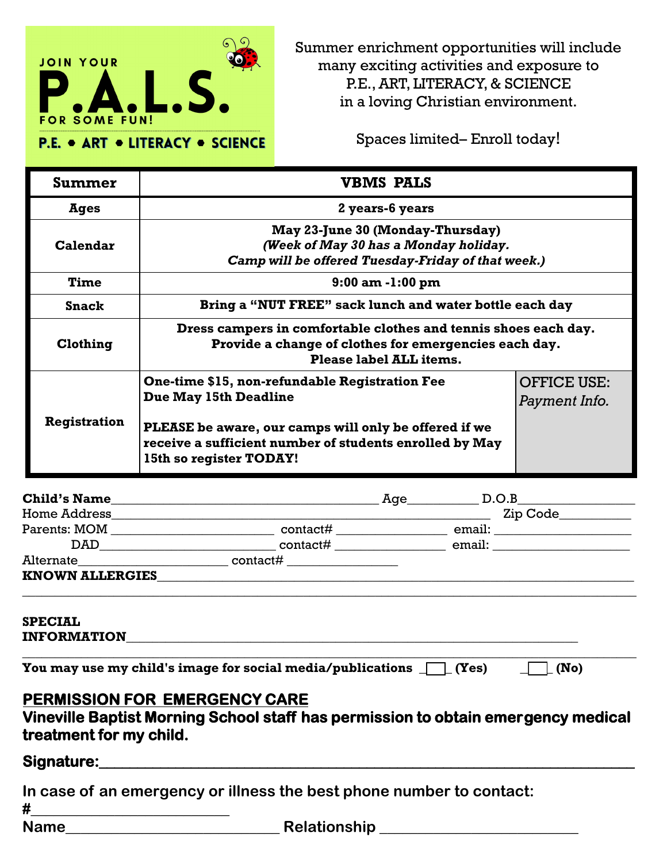

Summer enrichment opportunities will include many exciting activities and exposure to P.E., ART, LITERACY, & SCIENCE in a loving Christian environment.

Spaces limited– Enroll today!

| Summer              | <b>VBMS PALS</b>                                                                                                                                                                            |                                     |  |
|---------------------|---------------------------------------------------------------------------------------------------------------------------------------------------------------------------------------------|-------------------------------------|--|
| Ages                | 2 years-6 years                                                                                                                                                                             |                                     |  |
| Calendar            | May 23-June 30 (Monday-Thursday)<br>(Week of May 30 has a Monday holiday.<br>Camp will be offered Tuesday-Friday of that week.)                                                             |                                     |  |
| Time                | $9:00$ am $-1:00$ pm                                                                                                                                                                        |                                     |  |
| <b>Snack</b>        | Bring a "NUT FREE" sack lunch and water bottle each day                                                                                                                                     |                                     |  |
| Clothing            | Dress campers in comfortable clothes and tennis shoes each day.<br>Provide a change of clothes for emergencies each day.<br>Please label ALL items.                                         |                                     |  |
| <b>Registration</b> | One-time \$15, non-refundable Registration Fee<br>Due May 15th Deadline<br>PLEASE be aware, our camps will only be offered if we<br>receive a sufficient number of students enrolled by May | <b>OFFICE USE:</b><br>Payment Info. |  |
|                     | 15th so register TODAY!                                                                                                                                                                     |                                     |  |

| <b>Child's Name</b>    |          | Age | D.O.B                                                                                                                                                                                                                          |
|------------------------|----------|-----|--------------------------------------------------------------------------------------------------------------------------------------------------------------------------------------------------------------------------------|
| <b>Home Address</b>    |          |     | Zip Code                                                                                                                                                                                                                       |
| Parents: MOM           | contact# |     |                                                                                                                                                                                                                                |
|                        | contact# |     | email: the contract of the contract of the contract of the contract of the contract of the contract of the contract of the contract of the contract of the contract of the contract of the contract of the contract of the con |
| Alternate              |          |     |                                                                                                                                                                                                                                |
| <b>KNOWN ALLERGIES</b> |          |     |                                                                                                                                                                                                                                |
|                        |          |     |                                                                                                                                                                                                                                |

## **SPECIAL**

**INFORMATION \_\_\_\_\_\_\_\_\_\_\_\_\_\_\_\_\_\_\_\_\_\_\_\_\_\_\_\_\_\_\_\_\_\_\_\_\_\_\_\_\_\_\_\_\_\_\_\_\_\_\_\_\_\_\_\_\_\_\_\_\_\_\_\_\_\_\_\_\_\_\_\_\_\_\_\_\_\_\_\_\_\_\_\_\_\_\_\_\_\_\_\_\_\_** 

**You may use my child's image for social media/publications**  $\Box$  **(Yes)**  $\Box$  **(No)** 

## **PERMISSION FOR EMERGENCY CARE**

**Vineville Baptist Morning School staff has permission to obtain emergency medical treatment for my child.** 

## **Signature:\_\_\_\_\_\_\_\_\_\_\_\_\_\_\_\_\_\_\_\_\_\_\_\_\_\_\_\_\_\_\_\_\_\_\_\_\_\_\_\_\_\_\_\_\_\_\_\_\_\_\_\_\_\_\_\_\_\_\_\_\_\_\_\_\_\_\_\_\_\_**

| In case of an emergency or illness the best phone number to contact: |                     |  |  |  |
|----------------------------------------------------------------------|---------------------|--|--|--|
| #                                                                    |                     |  |  |  |
| <b>Name</b>                                                          | <b>Relationship</b> |  |  |  |